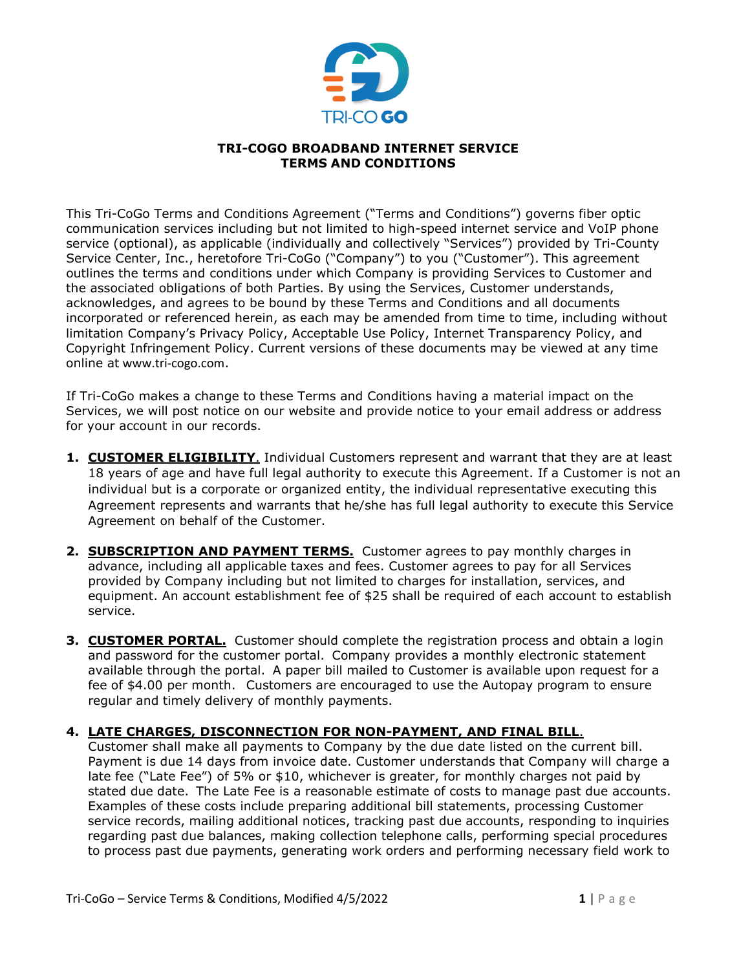

## **TRI-COGO BROADBAND INTERNET SERVICE TERMS AND CONDITIONS**

This Tri-CoGo Terms and Conditions Agreement ("Terms and Conditions") governs fiber optic communication services including but not limited to high-speed internet service and VoIP phone service (optional), as applicable (individually and collectively "Services") provided by Tri-County Service Center, Inc., heretofore Tri-CoGo ("Company") to you ("Customer"). This agreement outlines the terms and conditions under which Company is providing Services to Customer and the associated obligations of both Parties. By using the Services, Customer understands, acknowledges, and agrees to be bound by these Terms and Conditions and all documents incorporated or referenced herein, as each may be amended from time to time, including without limitation Company's Privacy Policy, Acceptable Use Policy, Internet Transparency Policy, and Copyright Infringement Policy. Current versions of these documents may be viewed at any time online at www.tri-cogo.com.

If Tri-CoGo makes a change to these Terms and Conditions having a material impact on the Services, we will post notice on our website and provide notice to your email address or address for your account in our records.

- **1. CUSTOMER ELIGIBILITY**. Individual Customers represent and warrant that they are at least 18 years of age and have full legal authority to execute this Agreement. If a Customer is not an individual but is a corporate or organized entity, the individual representative executing this Agreement represents and warrants that he/she has full legal authority to execute this Service Agreement on behalf of the Customer.
- **2. SUBSCRIPTION AND PAYMENT TERMS.** Customer agrees to pay monthly charges in advance, including all applicable taxes and fees. Customer agrees to pay for all Services provided by Company including but not limited to charges for installation, services, and equipment. An account establishment fee of \$25 shall be required of each account to establish service.
- **3. CUSTOMER PORTAL.** Customer should complete the registration process and obtain a login and password for the customer portal. Company provides a monthly electronic statement available through the portal. A paper bill mailed to Customer is available upon request for a fee of \$4.00 per month. Customers are encouraged to use the Autopay program to ensure regular and timely delivery of monthly payments.

## **4. LATE CHARGES, DISCONNECTION FOR NON-PAYMENT, AND FINAL BILL**.

Customer shall make all payments to Company by the due date listed on the current bill. Payment is due 14 days from invoice date. Customer understands that Company will charge a late fee ("Late Fee") of 5% or \$10, whichever is greater, for monthly charges not paid by stated due date. The Late Fee is a reasonable estimate of costs to manage past due accounts. Examples of these costs include preparing additional bill statements, processing Customer service records, mailing additional notices, tracking past due accounts, responding to inquiries regarding past due balances, making collection telephone calls, performing special procedures to process past due payments, generating work orders and performing necessary field work to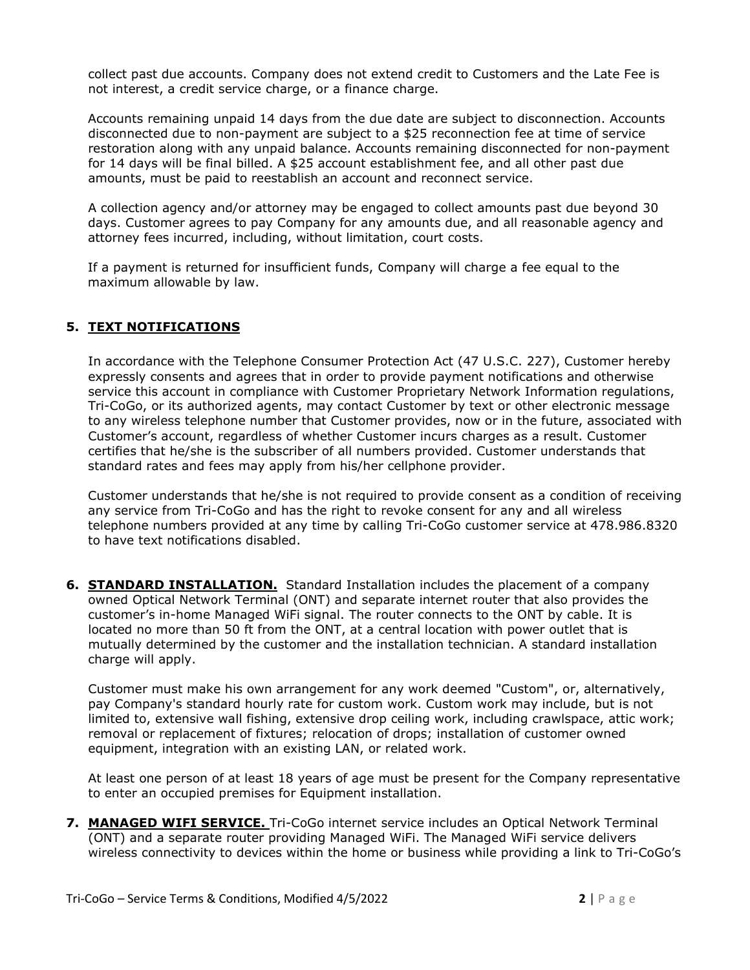collect past due accounts. Company does not extend credit to Customers and the Late Fee is not interest, a credit service charge, or a finance charge.

Accounts remaining unpaid 14 days from the due date are subject to disconnection. Accounts disconnected due to non-payment are subject to a \$25 reconnection fee at time of service restoration along with any unpaid balance. Accounts remaining disconnected for non-payment for 14 days will be final billed. A \$25 account establishment fee, and all other past due amounts, must be paid to reestablish an account and reconnect service.

A collection agency and/or attorney may be engaged to collect amounts past due beyond 30 days. Customer agrees to pay Company for any amounts due, and all reasonable agency and attorney fees incurred, including, without limitation, court costs.

If a payment is returned for insufficient funds, Company will charge a fee equal to the maximum allowable by law.

## **5. TEXT NOTIFICATIONS**

In accordance with the Telephone Consumer Protection Act (47 U.S.C. 227), Customer hereby expressly consents and agrees that in order to provide payment notifications and otherwise service this account in compliance with Customer Proprietary Network Information regulations, Tri-CoGo, or its authorized agents, may contact Customer by text or other electronic message to any wireless telephone number that Customer provides, now or in the future, associated with Customer's account, regardless of whether Customer incurs charges as a result. Customer certifies that he/she is the subscriber of all numbers provided. Customer understands that standard rates and fees may apply from his/her cellphone provider.

Customer understands that he/she is not required to provide consent as a condition of receiving any service from Tri-CoGo and has the right to revoke consent for any and all wireless telephone numbers provided at any time by calling Tri-CoGo customer service at 478.986.8320 to have text notifications disabled.

**6. STANDARD INSTALLATION.** Standard Installation includes the placement of a company owned Optical Network Terminal (ONT) and separate internet router that also provides the customer's in-home Managed WiFi signal. The router connects to the ONT by cable. It is located no more than 50 ft from the ONT, at a central location with power outlet that is mutually determined by the customer and the installation technician. A standard installation charge will apply.

Customer must make his own arrangement for any work deemed "Custom", or, alternatively, pay Company's standard hourly rate for custom work. Custom work may include, but is not limited to, extensive wall fishing, extensive drop ceiling work, including crawlspace, attic work; removal or replacement of fixtures; relocation of drops; installation of customer owned equipment, integration with an existing LAN, or related work.

At least one person of at least 18 years of age must be present for the Company representative to enter an occupied premises for Equipment installation.

**7. MANAGED WIFI SERVICE.** Tri-CoGo internet service includes an Optical Network Terminal (ONT) and a separate router providing Managed WiFi. The Managed WiFi service delivers wireless connectivity to devices within the home or business while providing a link to Tri-CoGo's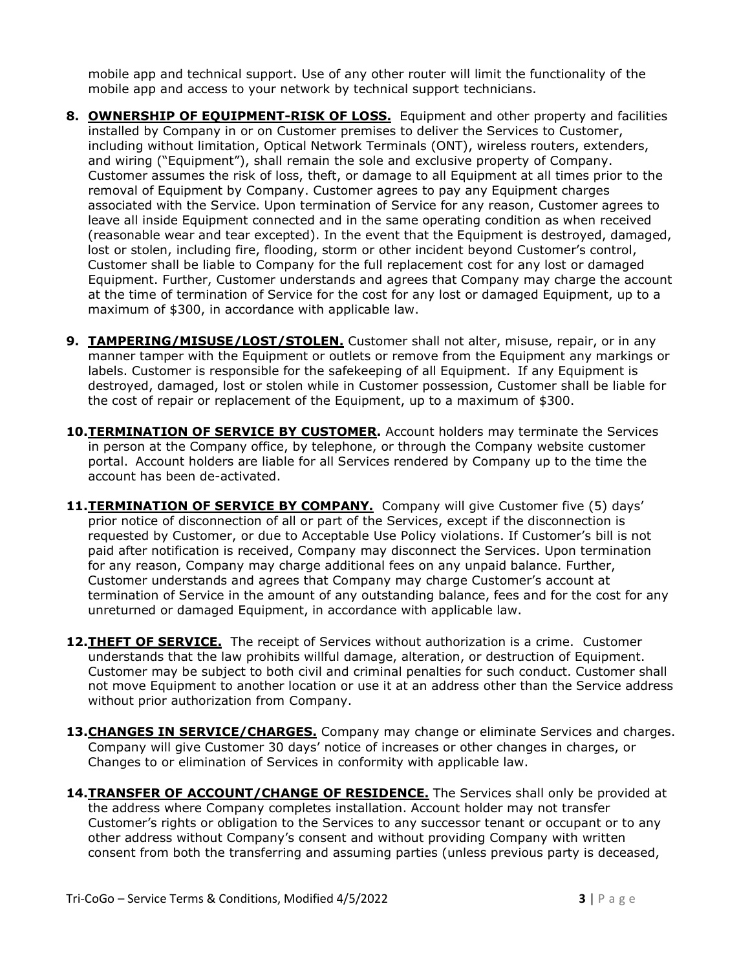mobile app and technical support. Use of any other router will limit the functionality of the mobile app and access to your network by technical support technicians.

- **8. OWNERSHIP OF EQUIPMENT-RISK OF LOSS.** Equipment and other property and facilities installed by Company in or on Customer premises to deliver the Services to Customer, including without limitation, Optical Network Terminals (ONT), wireless routers, extenders, and wiring ("Equipment"), shall remain the sole and exclusive property of Company. Customer assumes the risk of loss, theft, or damage to all Equipment at all times prior to the removal of Equipment by Company. Customer agrees to pay any Equipment charges associated with the Service. Upon termination of Service for any reason, Customer agrees to leave all inside Equipment connected and in the same operating condition as when received (reasonable wear and tear excepted). In the event that the Equipment is destroyed, damaged, lost or stolen, including fire, flooding, storm or other incident beyond Customer's control, Customer shall be liable to Company for the full replacement cost for any lost or damaged Equipment. Further, Customer understands and agrees that Company may charge the account at the time of termination of Service for the cost for any lost or damaged Equipment, up to a maximum of \$300, in accordance with applicable law.
- **9. TAMPERING/MISUSE/LOST/STOLEN.** Customer shall not alter, misuse, repair, or in any manner tamper with the Equipment or outlets or remove from the Equipment any markings or labels. Customer is responsible for the safekeeping of all Equipment. If any Equipment is destroyed, damaged, lost or stolen while in Customer possession, Customer shall be liable for the cost of repair or replacement of the Equipment, up to a maximum of \$300.
- **10.TERMINATION OF SERVICE BY CUSTOMER.** Account holders may terminate the Services in person at the Company office, by telephone, or through the Company website customer portal. Account holders are liable for all Services rendered by Company up to the time the account has been de-activated.
- **11. TERMINATION OF SERVICE BY COMPANY.** Company will give Customer five (5) days' prior notice of disconnection of all or part of the Services, except if the disconnection is requested by Customer, or due to Acceptable Use Policy violations. If Customer's bill is not paid after notification is received, Company may disconnect the Services. Upon termination for any reason, Company may charge additional fees on any unpaid balance. Further, Customer understands and agrees that Company may charge Customer's account at termination of Service in the amount of any outstanding balance, fees and for the cost for any unreturned or damaged Equipment, in accordance with applicable law.
- **12.THEFT OF SERVICE.** The receipt of Services without authorization is a crime. Customer understands that the law prohibits willful damage, alteration, or destruction of Equipment. Customer may be subject to both civil and criminal penalties for such conduct. Customer shall not move Equipment to another location or use it at an address other than the Service address without prior authorization from Company.
- 13. CHANGES IN SERVICE/CHARGES. Company may change or eliminate Services and charges. Company will give Customer 30 days' notice of increases or other changes in charges, or Changes to or elimination of Services in conformity with applicable law.
- **14.TRANSFER OF ACCOUNT/CHANGE OF RESIDENCE.** The Services shall only be provided at the address where Company completes installation. Account holder may not transfer Customer's rights or obligation to the Services to any successor tenant or occupant or to any other address without Company's consent and without providing Company with written consent from both the transferring and assuming parties (unless previous party is deceased,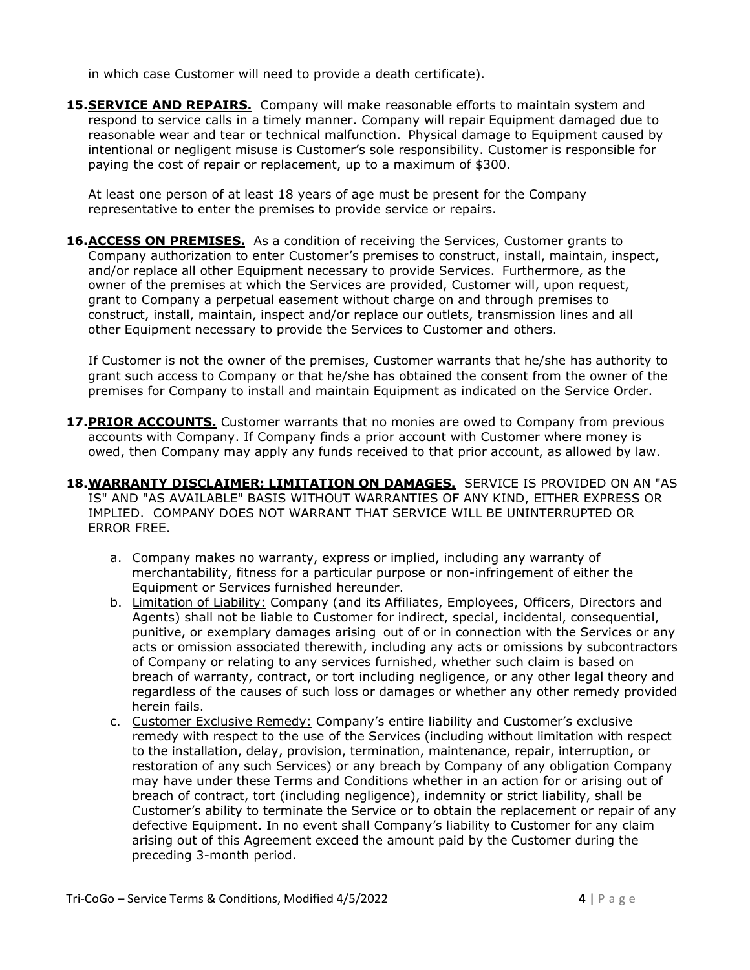in which case Customer will need to provide a death certificate).

15.**SERVICE AND REPAIRS.** Company will make reasonable efforts to maintain system and respond to service calls in a timely manner. Company will repair Equipment damaged due to reasonable wear and tear or technical malfunction. Physical damage to Equipment caused by intentional or negligent misuse is Customer's sole responsibility. Customer is responsible for paying the cost of repair or replacement, up to a maximum of \$300.

At least one person of at least 18 years of age must be present for the Company representative to enter the premises to provide service or repairs.

**16. ACCESS ON PREMISES.** As a condition of receiving the Services, Customer grants to Company authorization to enter Customer's premises to construct, install, maintain, inspect, and/or replace all other Equipment necessary to provide Services. Furthermore, as the owner of the premises at which the Services are provided, Customer will, upon request, grant to Company a perpetual easement without charge on and through premises to construct, install, maintain, inspect and/or replace our outlets, transmission lines and all other Equipment necessary to provide the Services to Customer and others.

If Customer is not the owner of the premises, Customer warrants that he/she has authority to grant such access to Company or that he/she has obtained the consent from the owner of the premises for Company to install and maintain Equipment as indicated on the Service Order.

- 17. PRIOR ACCOUNTS. Customer warrants that no monies are owed to Company from previous accounts with Company. If Company finds a prior account with Customer where money is owed, then Company may apply any funds received to that prior account, as allowed by law.
- **18.WARRANTY DISCLAIMER; LIMITATION ON DAMAGES.** SERVICE IS PROVIDED ON AN "AS IS" AND "AS AVAILABLE" BASIS WITHOUT WARRANTIES OF ANY KIND, EITHER EXPRESS OR IMPLIED. COMPANY DOES NOT WARRANT THAT SERVICE WILL BE UNINTERRUPTED OR ERROR FREE.
	- a. Company makes no warranty, express or implied, including any warranty of merchantability, fitness for a particular purpose or non-infringement of either the Equipment or Services furnished hereunder.
	- b. Limitation of Liability: Company (and its Affiliates, Employees, Officers, Directors and Agents) shall not be liable to Customer for indirect, special, incidental, consequential, punitive, or exemplary damages arising out of or in connection with the Services or any acts or omission associated therewith, including any acts or omissions by subcontractors of Company or relating to any services furnished, whether such claim is based on breach of warranty, contract, or tort including negligence, or any other legal theory and regardless of the causes of such loss or damages or whether any other remedy provided herein fails.
	- c. Customer Exclusive Remedy: Company's entire liability and Customer's exclusive remedy with respect to the use of the Services (including without limitation with respect to the installation, delay, provision, termination, maintenance, repair, interruption, or restoration of any such Services) or any breach by Company of any obligation Company may have under these Terms and Conditions whether in an action for or arising out of breach of contract, tort (including negligence), indemnity or strict liability, shall be Customer's ability to terminate the Service or to obtain the replacement or repair of any defective Equipment. In no event shall Company's liability to Customer for any claim arising out of this Agreement exceed the amount paid by the Customer during the preceding 3-month period.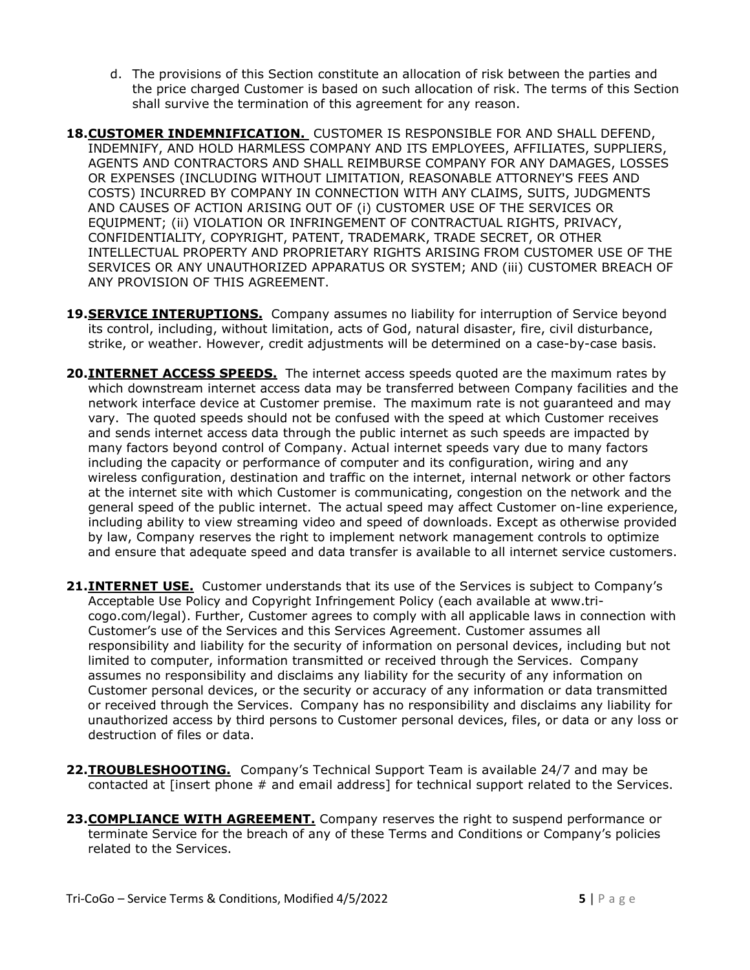- d. The provisions of this Section constitute an allocation of risk between the parties and the price charged Customer is based on such allocation of risk. The terms of this Section shall survive the termination of this agreement for any reason.
- **18.CUSTOMER INDEMNIFICATION.** CUSTOMER IS RESPONSIBLE FOR AND SHALL DEFEND, INDEMNIFY, AND HOLD HARMLESS COMPANY AND ITS EMPLOYEES, AFFILIATES, SUPPLIERS, AGENTS AND CONTRACTORS AND SHALL REIMBURSE COMPANY FOR ANY DAMAGES, LOSSES OR EXPENSES (INCLUDING WITHOUT LIMITATION, REASONABLE ATTORNEY'S FEES AND COSTS) INCURRED BY COMPANY IN CONNECTION WITH ANY CLAIMS, SUITS, JUDGMENTS AND CAUSES OF ACTION ARISING OUT OF (i) CUSTOMER USE OF THE SERVICES OR EQUIPMENT; (ii) VIOLATION OR INFRINGEMENT OF CONTRACTUAL RIGHTS, PRIVACY, CONFIDENTIALITY, COPYRIGHT, PATENT, TRADEMARK, TRADE SECRET, OR OTHER INTELLECTUAL PROPERTY AND PROPRIETARY RIGHTS ARISING FROM CUSTOMER USE OF THE SERVICES OR ANY UNAUTHORIZED APPARATUS OR SYSTEM; AND (iii) CUSTOMER BREACH OF ANY PROVISION OF THIS AGREEMENT.
- **19.SERVICE INTERUPTIONS.** Company assumes no liability for interruption of Service beyond its control, including, without limitation, acts of God, natural disaster, fire, civil disturbance, strike, or weather. However, credit adjustments will be determined on a case-by-case basis.
- **20.INTERNET ACCESS SPEEDS.** The internet access speeds quoted are the maximum rates by which downstream internet access data may be transferred between Company facilities and the network interface device at Customer premise. The maximum rate is not guaranteed and may vary. The quoted speeds should not be confused with the speed at which Customer receives and sends internet access data through the public internet as such speeds are impacted by many factors beyond control of Company. Actual internet speeds vary due to many factors including the capacity or performance of computer and its configuration, wiring and any wireless configuration, destination and traffic on the internet, internal network or other factors at the internet site with which Customer is communicating, congestion on the network and the general speed of the public internet. The actual speed may affect Customer on-line experience, including ability to view streaming video and speed of downloads. Except as otherwise provided by law, Company reserves the right to implement network management controls to optimize and ensure that adequate speed and data transfer is available to all internet service customers.
- 21. INTERNET USE. Customer understands that its use of the Services is subject to Company's Acceptable Use Policy and Copyright Infringement Policy (each available at www.tricogo.com/legal). Further, Customer agrees to comply with all applicable laws in connection with Customer's use of the Services and this Services Agreement. Customer assumes all responsibility and liability for the security of information on personal devices, including but not limited to computer, information transmitted or received through the Services. Company assumes no responsibility and disclaims any liability for the security of any information on Customer personal devices, or the security or accuracy of any information or data transmitted or received through the Services. Company has no responsibility and disclaims any liability for unauthorized access by third persons to Customer personal devices, files, or data or any loss or destruction of files or data.
- **22.TROUBLESHOOTING.** Company's Technical Support Team is available 24/7 and may be contacted at [insert phone # and email address] for technical support related to the Services.
- **23. COMPLIANCE WITH AGREEMENT.** Company reserves the right to suspend performance or terminate Service for the breach of any of these Terms and Conditions or Company's policies related to the Services.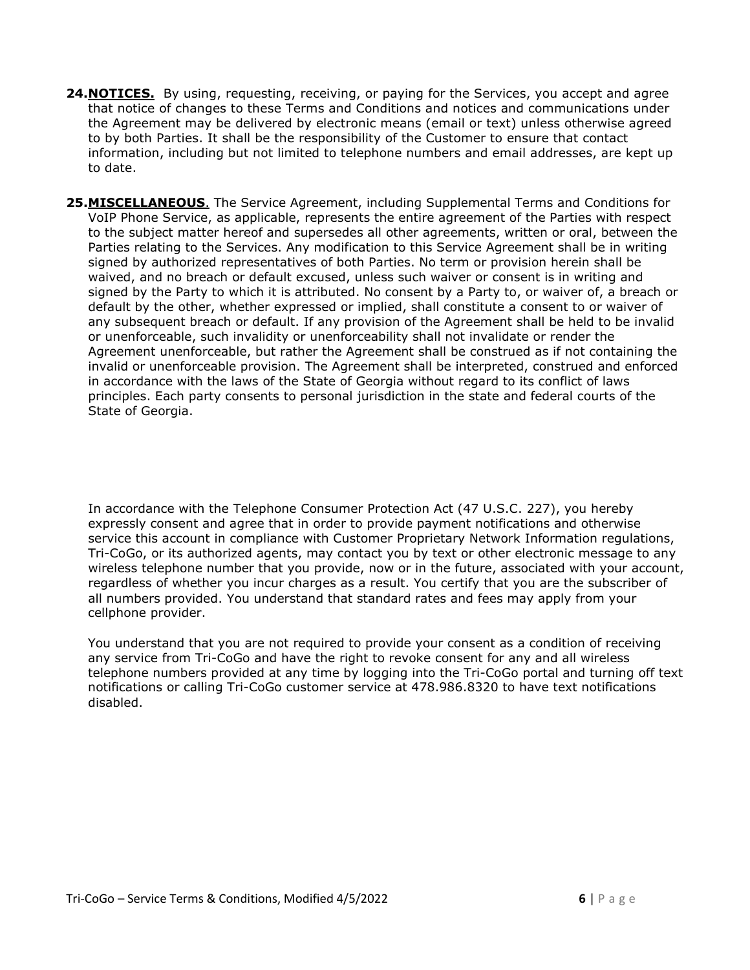- **24. NOTICES.** By using, requesting, receiving, or paying for the Services, you accept and agree that notice of changes to these Terms and Conditions and notices and communications under the Agreement may be delivered by electronic means (email or text) unless otherwise agreed to by both Parties. It shall be the responsibility of the Customer to ensure that contact information, including but not limited to telephone numbers and email addresses, are kept up to date.
- **25.MISCELLANEOUS**. The Service Agreement, including Supplemental Terms and Conditions for VoIP Phone Service, as applicable, represents the entire agreement of the Parties with respect to the subject matter hereof and supersedes all other agreements, written or oral, between the Parties relating to the Services. Any modification to this Service Agreement shall be in writing signed by authorized representatives of both Parties. No term or provision herein shall be waived, and no breach or default excused, unless such waiver or consent is in writing and signed by the Party to which it is attributed. No consent by a Party to, or waiver of, a breach or default by the other, whether expressed or implied, shall constitute a consent to or waiver of any subsequent breach or default. If any provision of the Agreement shall be held to be invalid or unenforceable, such invalidity or unenforceability shall not invalidate or render the Agreement unenforceable, but rather the Agreement shall be construed as if not containing the invalid or unenforceable provision. The Agreement shall be interpreted, construed and enforced in accordance with the laws of the State of Georgia without regard to its conflict of laws principles. Each party consents to personal jurisdiction in the state and federal courts of the State of Georgia.

In accordance with the Telephone Consumer Protection Act (47 U.S.C. 227), you hereby expressly consent and agree that in order to provide payment notifications and otherwise service this account in compliance with Customer Proprietary Network Information regulations, Tri-CoGo, or its authorized agents, may contact you by text or other electronic message to any wireless telephone number that you provide, now or in the future, associated with your account, regardless of whether you incur charges as a result. You certify that you are the subscriber of all numbers provided. You understand that standard rates and fees may apply from your cellphone provider.

You understand that you are not required to provide your consent as a condition of receiving any service from Tri-CoGo and have the right to revoke consent for any and all wireless telephone numbers provided at any time by logging into the Tri-CoGo portal and turning off text notifications or calling Tri-CoGo customer service at 478.986.8320 to have text notifications disabled.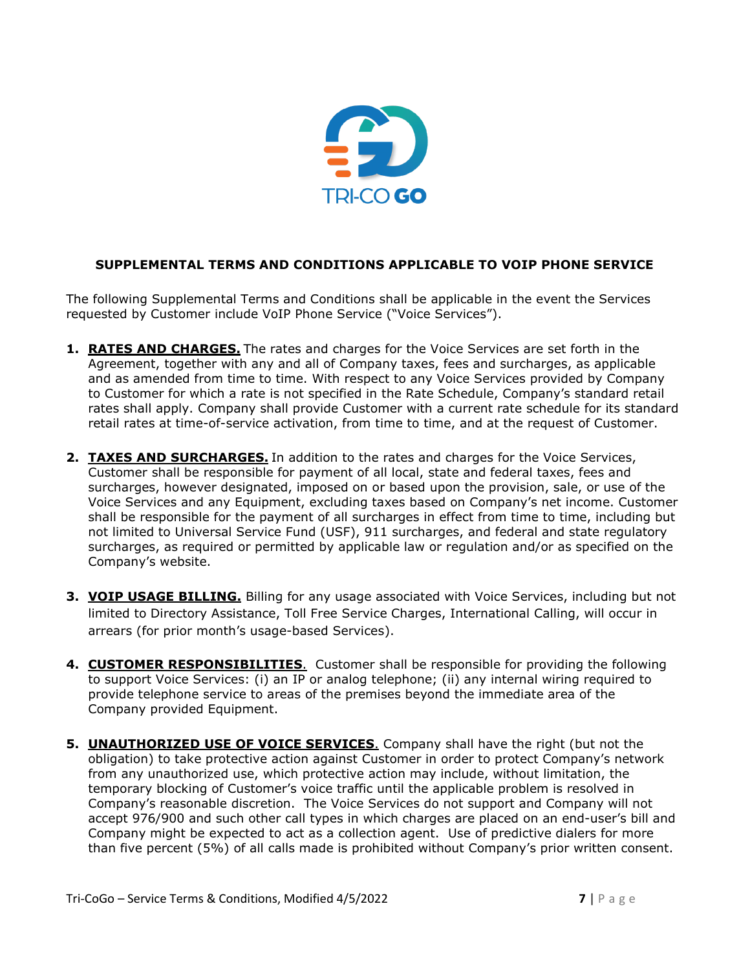

## **SUPPLEMENTAL TERMS AND CONDITIONS APPLICABLE TO VOIP PHONE SERVICE**

The following Supplemental Terms and Conditions shall be applicable in the event the Services requested by Customer include VoIP Phone Service ("Voice Services").

- **1. RATES AND CHARGES.** The rates and charges for the Voice Services are set forth in the Agreement, together with any and all of Company taxes, fees and surcharges, as applicable and as amended from time to time. With respect to any Voice Services provided by Company to Customer for which a rate is not specified in the Rate Schedule, Company's standard retail rates shall apply. Company shall provide Customer with a current rate schedule for its standard retail rates at time-of-service activation, from time to time, and at the request of Customer.
- **2. TAXES AND SURCHARGES.** In addition to the rates and charges for the Voice Services, Customer shall be responsible for payment of all local, state and federal taxes, fees and surcharges, however designated, imposed on or based upon the provision, sale, or use of the Voice Services and any Equipment, excluding taxes based on Company's net income. Customer shall be responsible for the payment of all surcharges in effect from time to time, including but not limited to Universal Service Fund (USF), 911 surcharges, and federal and state regulatory surcharges, as required or permitted by applicable law or regulation and/or as specified on the Company's website.
- **3. VOIP USAGE BILLING.** Billing for any usage associated with Voice Services, including but not limited to Directory Assistance, Toll Free Service Charges, International Calling, will occur in arrears (for prior month's usage-based Services).
- **4. CUSTOMER RESPONSIBILITIES**. Customer shall be responsible for providing the following to support Voice Services: (i) an IP or analog telephone; (ii) any internal wiring required to provide telephone service to areas of the premises beyond the immediate area of the Company provided Equipment.
- **5. UNAUTHORIZED USE OF VOICE SERVICES**. Company shall have the right (but not the obligation) to take protective action against Customer in order to protect Company's network from any unauthorized use, which protective action may include, without limitation, the temporary blocking of Customer's voice traffic until the applicable problem is resolved in Company's reasonable discretion. The Voice Services do not support and Company will not accept 976/900 and such other call types in which charges are placed on an end-user's bill and Company might be expected to act as a collection agent. Use of predictive dialers for more than five percent (5%) of all calls made is prohibited without Company's prior written consent.